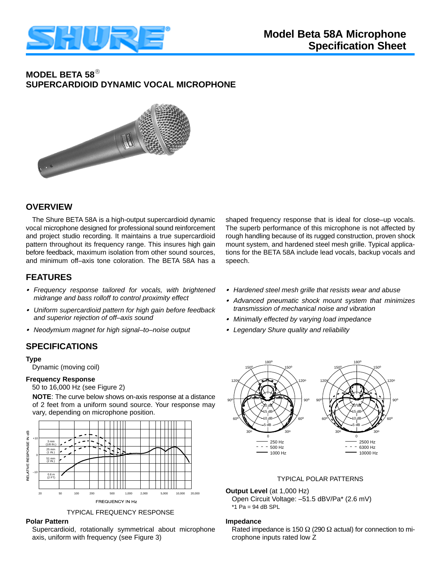

# **MODEL BETA 58 SUPERCARDIOID DYNAMIC VOCAL MICROPHONE**



# **OVERVIEW**

The Shure BETA 58A is a high-output supercardioid dynamic vocal microphone designed for professional sound reinforcement and project studio recording. It maintains a true supercardioid pattern throughout its frequency range. This insures high gain before feedback, maximum isolation from other sound sources, and minimum off–axis tone coloration. The BETA 58A has a

# **FEATURES**

- *Frequency response tailored for vocals, with brightened midrange and bass rolloff to control proximity effect*
- *Uniform supercardioid pattern for high gain before feedback and superior rejection of off–axis sound*
- *Neodymium magnet for high signal–to–noise output*

# **SPECIFICATIONS**

#### **Type**

Dynamic (moving coil)

#### **Frequency Response**

50 to 16,000 Hz (see Figure 2)

**NOTE**: The curve below shows on-axis response at a distance of 2 feet from a uniform sound source. Your response may vary, depending on microphone position.



TYPICAL FREQUENCY RESPONSE

### **Polar Pattern**

Supercardioid, rotationally symmetrical about microphone axis, uniform with frequency (see Figure 3)

shaped frequency response that is ideal for close–up vocals. The superb performance of this microphone is not affected by rough handling because of its rugged construction, proven shock mount system, and hardened steel mesh grille. Typical applications for the BETA 58A include lead vocals, backup vocals and speech.

- *Hardened steel mesh grille that resists wear and abuse*
- *Advanced pneumatic shock mount system that minimizes transmission of mechanical noise and vibration*
- *Minimally effected by varying load impedance*
- *Legendary Shure quality and reliability*



#### **Output Level** (at 1,000 Hz)

 Open Circuit Voltage: –51.5 dBV/Pa\* (2.6 mV)  $*1$  Pa = 94 dB SPL

#### **Impedance**

Rated impedance is 150  $\Omega$  (290  $\Omega$  actual) for connection to microphone inputs rated low Z